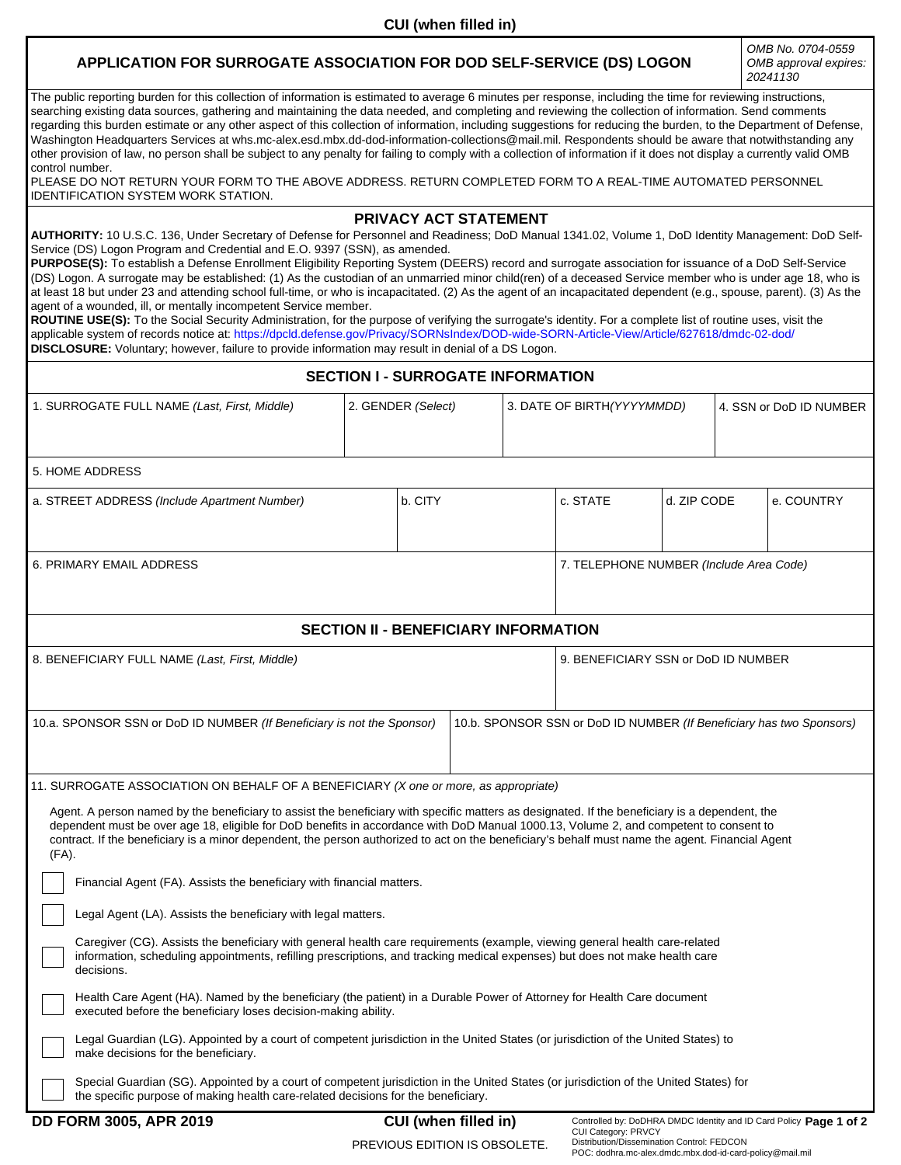## **APPLICATION FOR SURROGATE ASSOCIATION FOR DOD SELF-SERVICE (DS) LOGON**

*OMB No. 0704-0559 OMB approval expires: 20241130*

The public reporting burden for this collection of information is estimated to average 6 minutes per response, including the time for reviewing instructions, searching existing data sources, gathering and maintaining the data needed, and completing and reviewing the collection of information. Send comments regarding this burden estimate or any other aspect of this collection of information, including suggestions for reducing the burden, to the Department of Defense, Washington Headquarters Services at whs.mc-alex.esd.mbx.dd-dod-information-collections@mail.mil. Respondents should be aware that notwithstanding any other provision of law, no person shall be subject to any penalty for failing to comply with a collection of information if it does not display a currently valid OMB control number.

PLEASE DO NOT RETURN YOUR FORM TO THE ABOVE ADDRESS. RETURN COMPLETED FORM TO A REAL-TIME AUTOMATED PERSONNEL IDENTIFICATION SYSTEM WORK STATION.

## **PRIVACY ACT STATEMENT**

**AUTHORITY:** 10 U.S.C. 136, Under Secretary of Defense for Personnel and Readiness; DoD Manual 1341.02, Volume 1, DoD Identity Management: DoD Self-Service (DS) Logon Program and Credential and E.O. 9397 (SSN), as amended.

**PURPOSE(S):** To establish a Defense Enrollment Eligibility Reporting System (DEERS) record and surrogate association for issuance of a DoD Self-Service (DS) Logon. A surrogate may be established: (1) As the custodian of an unmarried minor child(ren) of a deceased Service member who is under age 18, who is at least 18 but under 23 and attending school full-time, or who is incapacitated. (2) As the agent of an incapacitated dependent (e.g., spouse, parent). (3) As the agent of a wounded, ill, or mentally incompetent Service member.

**ROUTINE USE(S):** To the Social Security Administration, for the purpose of verifying the surrogate's identity. For a complete list of routine uses, visit the applicable system of records notice at: https://dpcld.defense.gov/Privacy/SORNsIndex/DOD-wide-SORN-Article-View/Article/627618/dmdc-02-dod/ **DISCLOSURE:** Voluntary; however, failure to provide information may result in denial of a DS Logon.

| <b>SECTION I - SURROGATE INFORMATION</b>                                                                                                                                                                                                                                                                                                                                                                                                                                                                                                                                                                                                                                                                                                                                                                                                                                                                                                                                                                                                                                                                                                                                                                                                                                                                                                                                                                                                                                                |                    |                             |  |                             |                                                                      |  |                         |                                                                    |  |
|-----------------------------------------------------------------------------------------------------------------------------------------------------------------------------------------------------------------------------------------------------------------------------------------------------------------------------------------------------------------------------------------------------------------------------------------------------------------------------------------------------------------------------------------------------------------------------------------------------------------------------------------------------------------------------------------------------------------------------------------------------------------------------------------------------------------------------------------------------------------------------------------------------------------------------------------------------------------------------------------------------------------------------------------------------------------------------------------------------------------------------------------------------------------------------------------------------------------------------------------------------------------------------------------------------------------------------------------------------------------------------------------------------------------------------------------------------------------------------------------|--------------------|-----------------------------|--|-----------------------------|----------------------------------------------------------------------|--|-------------------------|--------------------------------------------------------------------|--|
| 1. SURROGATE FULL NAME (Last, First, Middle)                                                                                                                                                                                                                                                                                                                                                                                                                                                                                                                                                                                                                                                                                                                                                                                                                                                                                                                                                                                                                                                                                                                                                                                                                                                                                                                                                                                                                                            | 2. GENDER (Select) |                             |  | 3. DATE OF BIRTH (YYYYMMDD) |                                                                      |  | 4. SSN or DoD ID NUMBER |                                                                    |  |
| 5. HOME ADDRESS                                                                                                                                                                                                                                                                                                                                                                                                                                                                                                                                                                                                                                                                                                                                                                                                                                                                                                                                                                                                                                                                                                                                                                                                                                                                                                                                                                                                                                                                         |                    |                             |  |                             |                                                                      |  |                         |                                                                    |  |
| a. STREET ADDRESS (Include Apartment Number)                                                                                                                                                                                                                                                                                                                                                                                                                                                                                                                                                                                                                                                                                                                                                                                                                                                                                                                                                                                                                                                                                                                                                                                                                                                                                                                                                                                                                                            |                    | b. CITY                     |  |                             | c. STATE<br>d. ZIP CODE                                              |  |                         | e. COUNTRY                                                         |  |
| <b>6. PRIMARY EMAIL ADDRESS</b>                                                                                                                                                                                                                                                                                                                                                                                                                                                                                                                                                                                                                                                                                                                                                                                                                                                                                                                                                                                                                                                                                                                                                                                                                                                                                                                                                                                                                                                         |                    |                             |  |                             | 7. TELEPHONE NUMBER (Include Area Code)                              |  |                         |                                                                    |  |
| <b>SECTION II - BENEFICIARY INFORMATION</b>                                                                                                                                                                                                                                                                                                                                                                                                                                                                                                                                                                                                                                                                                                                                                                                                                                                                                                                                                                                                                                                                                                                                                                                                                                                                                                                                                                                                                                             |                    |                             |  |                             |                                                                      |  |                         |                                                                    |  |
| 8. BENEFICIARY FULL NAME (Last, First, Middle)                                                                                                                                                                                                                                                                                                                                                                                                                                                                                                                                                                                                                                                                                                                                                                                                                                                                                                                                                                                                                                                                                                                                                                                                                                                                                                                                                                                                                                          |                    |                             |  |                             | 9. BENEFICIARY SSN or DoD ID NUMBER                                  |  |                         |                                                                    |  |
| 10.a. SPONSOR SSN or DoD ID NUMBER (If Beneficiary is not the Sponsor)                                                                                                                                                                                                                                                                                                                                                                                                                                                                                                                                                                                                                                                                                                                                                                                                                                                                                                                                                                                                                                                                                                                                                                                                                                                                                                                                                                                                                  |                    |                             |  |                             | 10.b. SPONSOR SSN or DoD ID NUMBER (If Beneficiary has two Sponsors) |  |                         |                                                                    |  |
| 11. SURROGATE ASSOCIATION ON BEHALF OF A BENEFICIARY (X one or more, as appropriate)<br>Agent. A person named by the beneficiary to assist the beneficiary with specific matters as designated. If the beneficiary is a dependent, the<br>dependent must be over age 18, eligible for DoD benefits in accordance with DoD Manual 1000.13, Volume 2, and competent to consent to<br>contract. If the beneficiary is a minor dependent, the person authorized to act on the beneficiary's behalf must name the agent. Financial Agent<br>$(FA)$ .<br>Financial Agent (FA). Assists the beneficiary with financial matters.<br>Legal Agent (LA). Assists the beneficiary with legal matters.<br>Caregiver (CG). Assists the beneficiary with general health care requirements (example, viewing general health care-related<br>information, scheduling appointments, refilling prescriptions, and tracking medical expenses) but does not make health care<br>decisions.<br>Health Care Agent (HA). Named by the beneficiary (the patient) in a Durable Power of Attorney for Health Care document<br>executed before the beneficiary loses decision-making ability.<br>Legal Guardian (LG). Appointed by a court of competent jurisdiction in the United States (or jurisdiction of the United States) to<br>make decisions for the beneficiary.<br>Special Guardian (SG). Appointed by a court of competent jurisdiction in the United States (or jurisdiction of the United States) for |                    |                             |  |                             |                                                                      |  |                         |                                                                    |  |
| the specific purpose of making health care-related decisions for the beneficiary.<br>DD FORM 3005, APR 2019                                                                                                                                                                                                                                                                                                                                                                                                                                                                                                                                                                                                                                                                                                                                                                                                                                                                                                                                                                                                                                                                                                                                                                                                                                                                                                                                                                             |                    | <b>CUI</b> (when filled in) |  |                             | CHI Category: PRVCV                                                  |  |                         | Controlled by: DoDHRA DMDC Identity and ID Card Policy Page 1 of 2 |  |

PREVIOUS EDITION IS OBSOLETE.